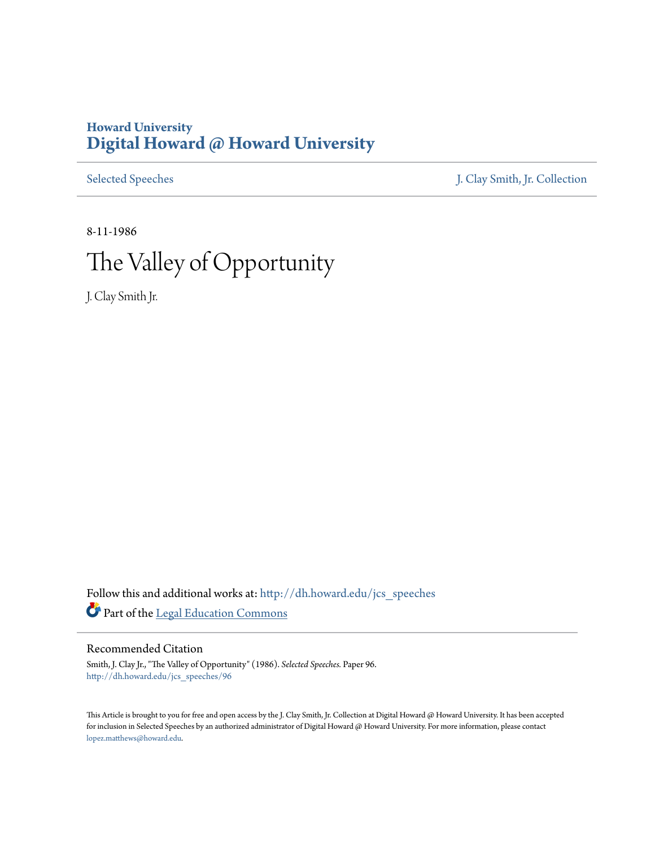## **Howard University [Digital Howard @ Howard University](http://dh.howard.edu?utm_source=dh.howard.edu%2Fjcs_speeches%2F96&utm_medium=PDF&utm_campaign=PDFCoverPages)**

[Selected Speeches](http://dh.howard.edu/jcs_speeches?utm_source=dh.howard.edu%2Fjcs_speeches%2F96&utm_medium=PDF&utm_campaign=PDFCoverPages) [J. Clay Smith, Jr. Collection](http://dh.howard.edu/jcsmith?utm_source=dh.howard.edu%2Fjcs_speeches%2F96&utm_medium=PDF&utm_campaign=PDFCoverPages)

8-11-1986

# The Valley of Opportunity

J. Clay Smith Jr.

Follow this and additional works at: [http://dh.howard.edu/jcs\\_speeches](http://dh.howard.edu/jcs_speeches?utm_source=dh.howard.edu%2Fjcs_speeches%2F96&utm_medium=PDF&utm_campaign=PDFCoverPages) Part of the [Legal Education Commons](http://network.bepress.com/hgg/discipline/857?utm_source=dh.howard.edu%2Fjcs_speeches%2F96&utm_medium=PDF&utm_campaign=PDFCoverPages)

### Recommended Citation

Smith, J. Clay Jr., "The Valley of Opportunity" (1986). *Selected Speeches.* Paper 96. [http://dh.howard.edu/jcs\\_speeches/96](http://dh.howard.edu/jcs_speeches/96?utm_source=dh.howard.edu%2Fjcs_speeches%2F96&utm_medium=PDF&utm_campaign=PDFCoverPages)

This Article is brought to you for free and open access by the J. Clay Smith, Jr. Collection at Digital Howard @ Howard University. It has been accepted for inclusion in Selected Speeches by an authorized administrator of Digital Howard @ Howard University. For more information, please contact [lopez.matthews@howard.edu.](mailto:lopez.matthews@howard.edu)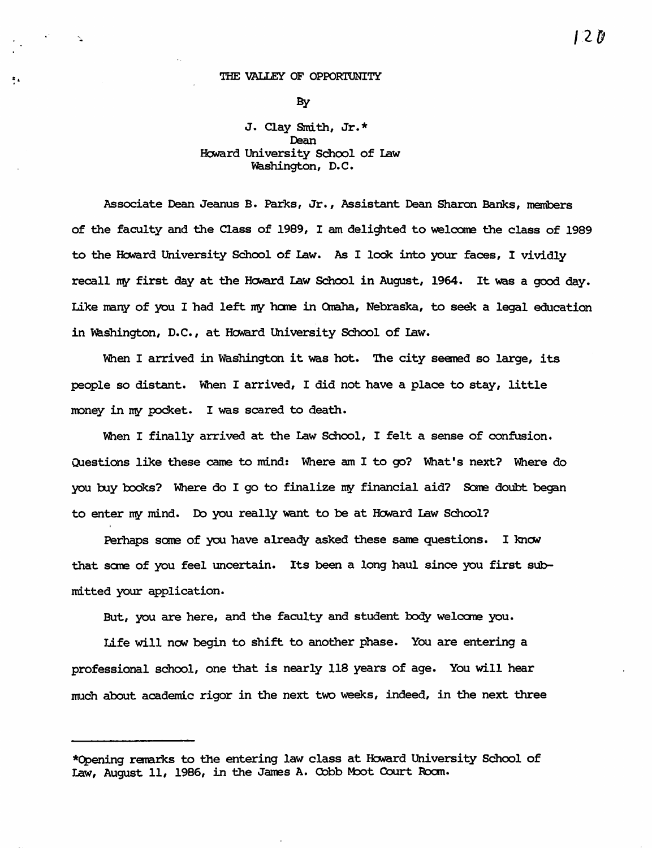#### THE VALLEY OF OPPORTUNITY

,"

 $\sim$ 

By

### J. Clay Smith, Jr. \* Dean Howard University School of Law Washington, D.C.

Associate Dean Jeanus B. Parks, Jr., Assistant Dean Sharon Banks, members of the faculty and the Class of 1989, I am delighted to welcane the class of 1989 to the Howard University School of Law. As I look into your faces, I vividly recall my first day at the Howard Law School in August, 1964. It was a good day. Like many of you I had left my home in Omaha, Nebraska, to seek a legal education in washington, D.C., at HONard University School of law.

When I arrived in Washington it was hot. The city seemed so large, its people so distant. When I arrived, I did not have a place to stay, little money in my pocket. I was scared to death.

When I finally arrived at the Law School, I felt a sense of confusion. Questions like these came to mind: Where am I to go? What's next? Where do you buy books? Where do I go to finalize my financial aid? Some doubt began to enter my mind. Do you really want to be at Howard Law School?

Perhaps some of you have already asked these same questions. I knew that some of you feel uncertain. Its been a long haul since you first submitted your application.

But, you are here, and the faculty and student body welcane you.

Life will now begin to shift to another phase. You are entering a professional school, one that is nearly 118 years of age. You will hear much about academic rigor in the next two weeks, indeed, in the next three

<sup>\*</sup>Opening remarks to the entering law class at Howard University School of Law, August 11, 1986, in the James A. Cobb Moot Court Room.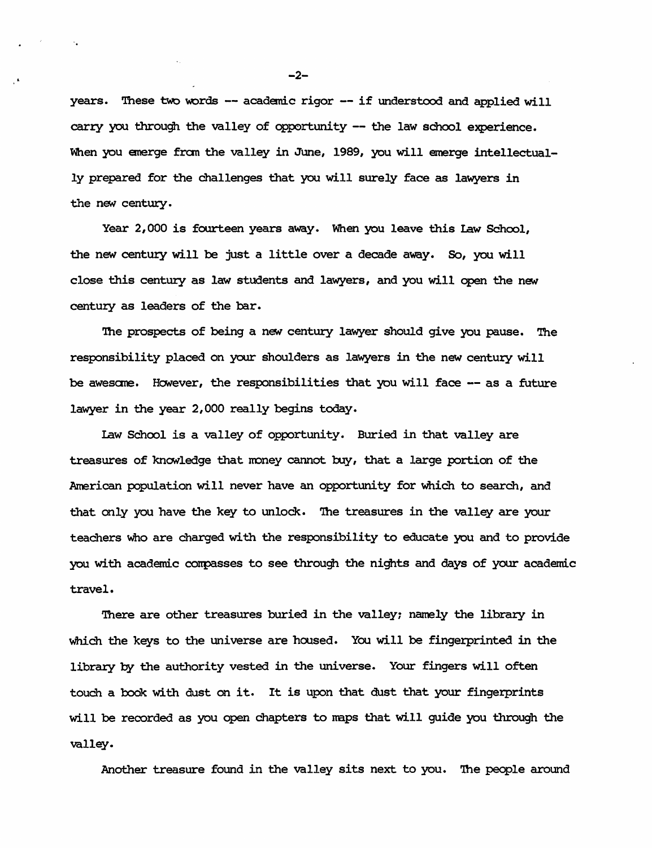years. These two words  $-$  academic rigor  $-$  if understood and applied will carry you through the valley of opportunity -- the law school experience. When you emerge from the valley in June, 1989, you will emerge intellectually prepared for the challenges that you will surely face as lawyers in the new century.

Year 2,000 is fourteen years away. When you leave this law School, the new century will be just a little over a decade away. So, you will close this centuzy as law students and lawyers, and you will open the new century as leaders of the bar.

The prospects of being a new century lawyer should give you pause. The responsibility placed on your shoulders as lawyers in the new centuty will be awesome. However, the responsibilities that you will face -- as a future lawyer in the year 2,000 really begins today.

Law School is a valley of opportunity. Buried in that valley are treasures of knowledge that money cannot buy, that a large portion of the American population will never have an opportunity for which to search, and that only you have the key to unlock. 'Ihe treasures in the valley are your teachers Who are charged with the responsibility to educate you and to provide you with academic conpasses to see through the nights and days of your academic travel.

There are other treasures buried in the valley; namely the library in Which the keys to the universe are housed. You will be fingerprinted in the libraxy by the authority vested in the universe. Your fingers will often touch a book with dust on it. It is upon that dust that your fingerprints will be recorded as you open chapters to maps that will guide you through the valley.

Another treasure found in the valley sits next to you. The people around

 $-2-$